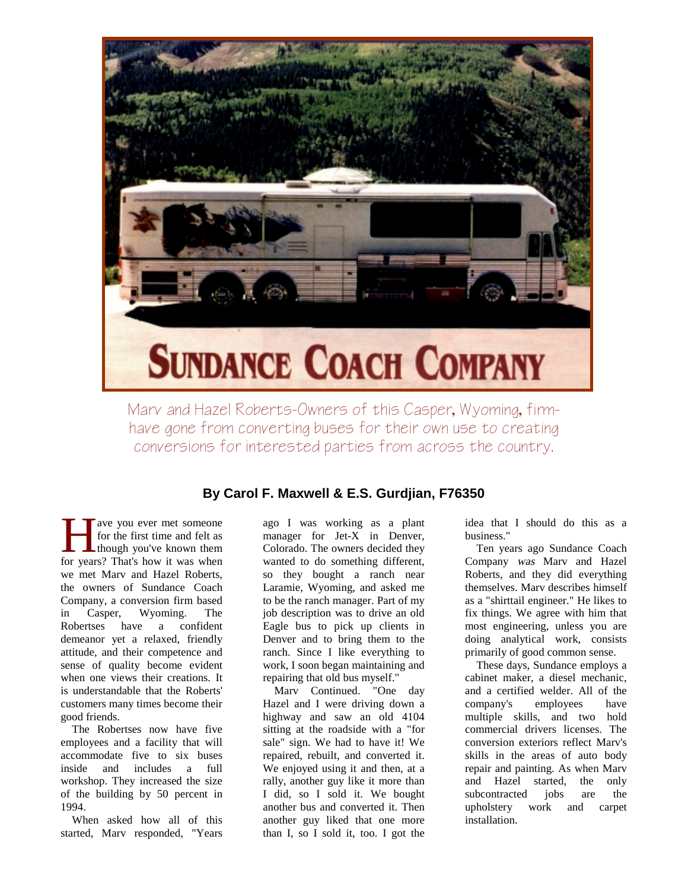

Marv and Hazel Roberts-Owners of this Casper, Wyoming, firmhave gone from converting buses for their own use to creating conversions for interested parties from across the country.

## **By Carol F. Maxwell & E.S. Gurdjian, F76350**

ave you ever met someone for the first time and felt as though you've known them For the first time and felt as<br>though you've known them<br>for years? That's how it was when we met Marv and Hazel Roberts, the owners of Sundance Coach Company, a conversion firm based in Casper, Wyoming. The Robertses have a confident demeanor yet a relaxed, friendly attitude, and their competence and sense of quality become evident when one views their creations. It is understandable that the Roberts' customers many times become their good friends.

The Robertses now have five employees and a facility that will accommodate five to six buses inside and includes a full workshop. They increased the size of the building by 50 percent in 1994.

When asked how all of this started, Marv responded, "Years

ago I was working as a plant manager for Jet-X in Denver, Colorado. The owners decided they wanted to do something different, so they bought a ranch near Laramie, Wyoming, and asked me to be the ranch manager. Part of my job description was to drive an old Eagle bus to pick up clients in Denver and to bring them to the ranch. Since I like everything to work, I soon began maintaining and repairing that old bus myself."

Marv Continued. "One day Hazel and I were driving down a highway and saw an old 4104 sitting at the roadside with a "for sale" sign. We had to have it! We repaired, rebuilt, and converted it. We enjoyed using it and then, at a rally, another guy like it more than I did, so I sold it. We bought another bus and converted it. Then another guy liked that one more than I, so I sold it, too. I got the

idea that I should do this as a business."

Ten years ago Sundance Coach Company was Marv and Hazel Roberts, and they did everything themselves. Marv describes himself as a "shirttail engineer." He likes to fix things. We agree with him that most engineering, unless you are doing analytical work, consists primarily of good common sense.

These days, Sundance employs a cabinet maker, a diesel mechanic, and a certified welder. All of the company's employees have multiple skills, and two hold commercial drivers licenses. The conversion exteriors reflect Marv's skills in the areas of auto body repair and painting. As when Marv and Hazel started, the only subcontracted jobs are the upholstery work and carpet installation.